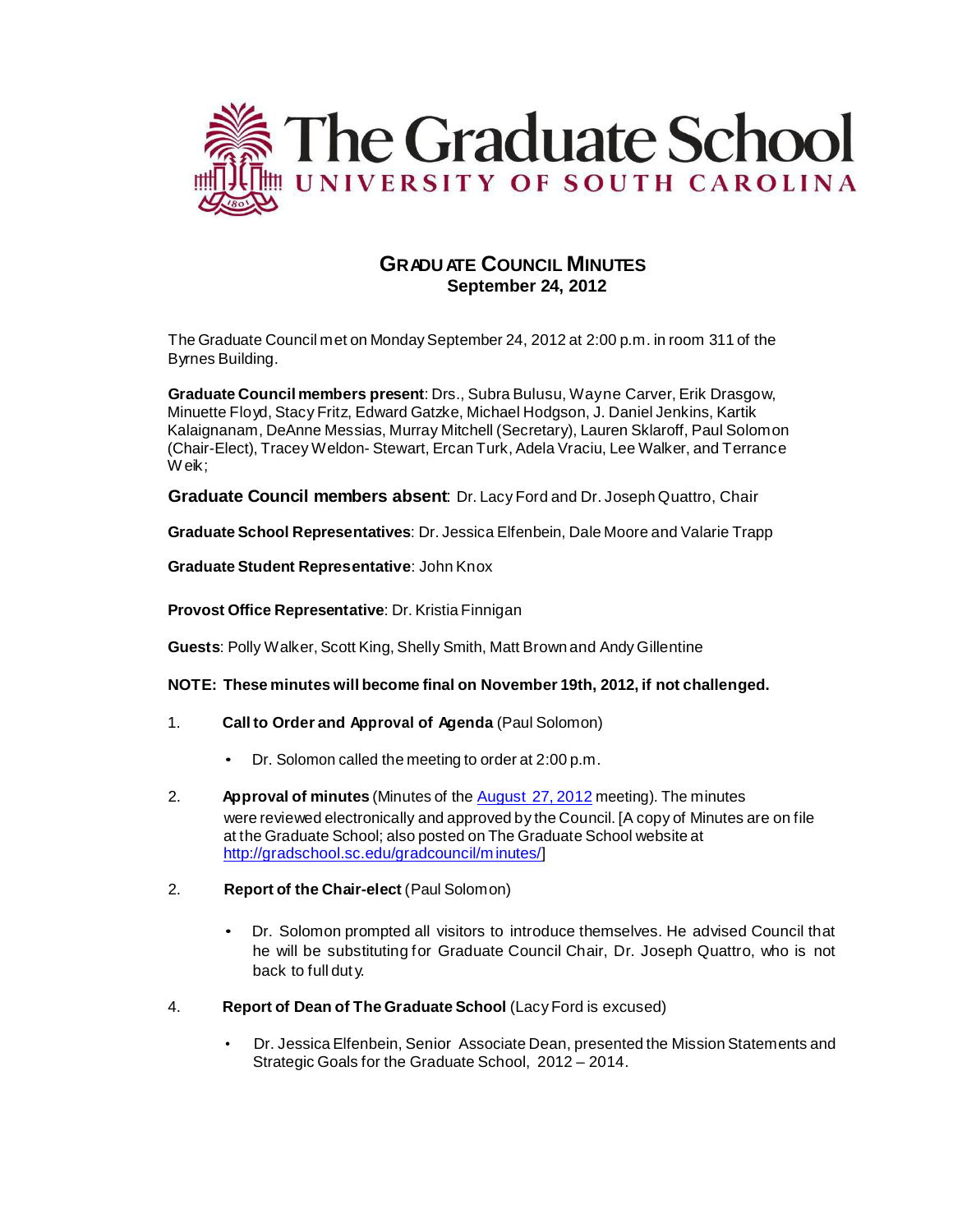

# **GRADU ATE COUNCIL MINUTES September 24, 2012**

The Graduate Council met on Monday September 24, 2012 at 2:00 p.m. in room 311 of the Byrnes Building.

**Graduate Council members present**: Drs., Subra Bulusu, Wayne Carver, Erik Drasgow, Minuette Floyd, Stacy Fritz, Edward Gatzke, Michael Hodgson, J. Daniel Jenkins, Kartik Kalaignanam, DeAnne Messias, Murray Mitchell (Secretary), Lauren Sklaroff, Paul Solomon (Chair-Elect), Tracey Weldon- Stewart, Ercan Turk, Adela Vraciu, Lee Walker, and Terrance Weik:

**Graduate Council members absent**: Dr. Lacy Ford and Dr. Joseph Quattro, Chair

**Graduate School Representatives**: Dr. Jessica Elfenbein, Dale Moore and Valarie Trapp

**Graduate Student Representative**: John Knox

**Provost Office Representative**: Dr. Kristia Finnigan

**Guests**: Polly Walker, Scott King, Shelly Smith, Matt Brown and Andy Gillentine

**NOTE: These minutes will become final on November 19th, 2012, if not challenged.**

- 1. **Call to Order and Approval of Agenda** (Paul Solomon)
	- Dr. Solomon called the meeting to order at 2:00 p.m.
- 2. **Approval of minutes** (Minutes of the [August](http://gradschool.sc.edu/gradcouncil/minutes/GCMinutes092611.pdf) 27, 2012 meeting). The minutes were reviewed electronically and approved by the Council. [A copy of Minutes are on file at the Graduate School; also posted on The Graduate School website at [http://gradschool.sc.edu/gradcouncil/m](http://gradschool.sc.edu/gradcouncil/minutes/) inutes/]
- 2. **Report of the Chair-elect** (Paul Solomon)
	- Dr. Solomon prompted all visitors to introduce themselves. He advised Council that he will be substituting for Graduate Council Chair, Dr. Joseph Quattro, who is not back to full dut y.
- 4. **Report of Dean of The Graduate School** (Lacy Ford is excused)
	- Dr. Jessica Elfenbein, Senior Associate Dean, presented the Mission Statements and Strategic Goals for the Graduate School, 2012 – 2014.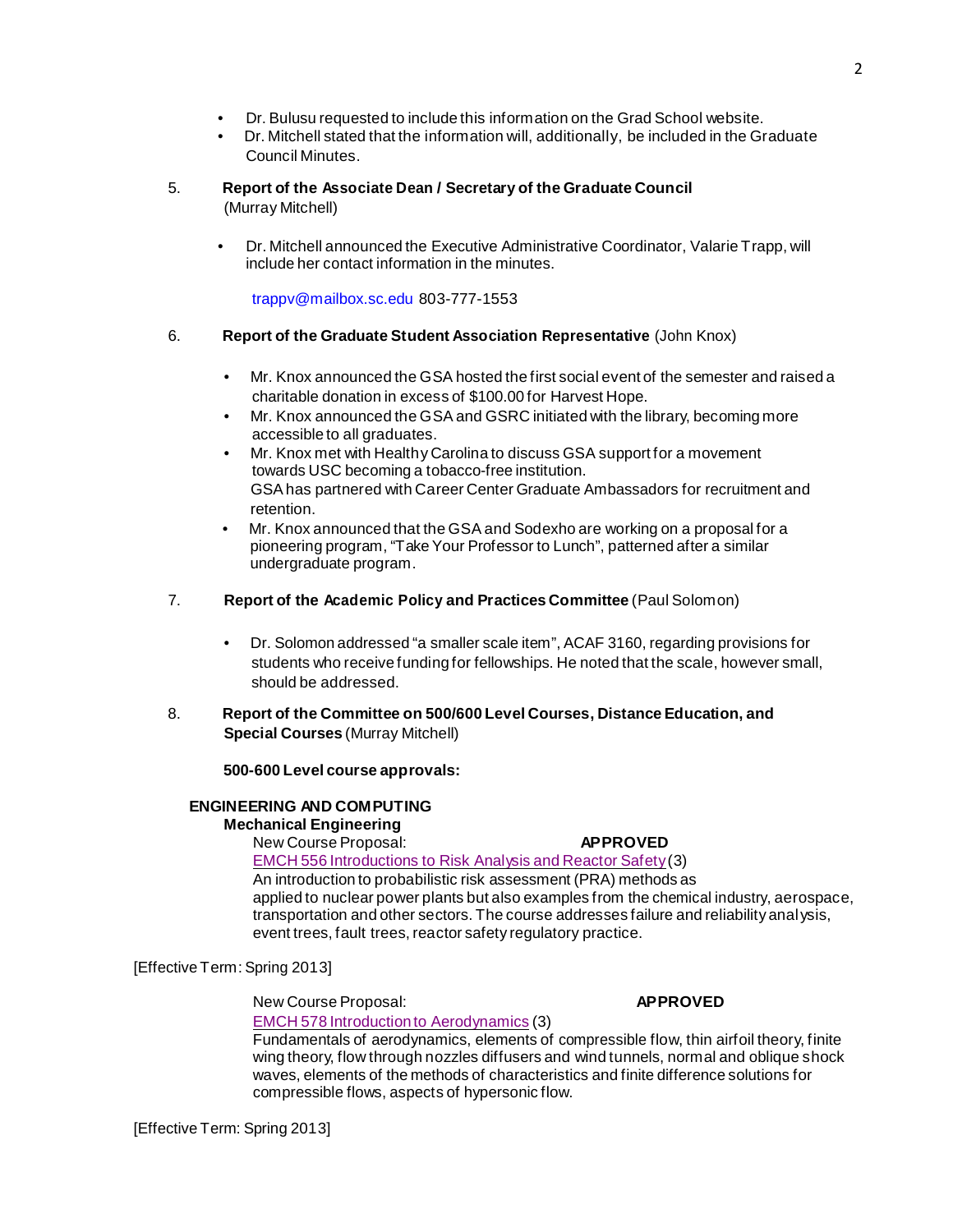- Dr. Bulusu requested to include this information on the Grad School website.
- Dr. Mitchell stated that the information will, additionally, be included in the Graduate Council Minutes.

### 5. **Report of the Associate Dean / Secretary of the Graduate Council** (Murray Mitchell)

• Dr. Mitchell announced the Executive Administrative Coordinator, Valarie Trapp, will include her contact information in the minutes.

[trappv@mailbox.sc.edu](mailto:trappv@mailbox.sc.edu) 803-777-1553

## 6. **Report of the Graduate Student Association Representative** (John Knox)

- Mr. Knox announced the GSA hosted the first social event of the semester and raised a charitable donation in excess of \$100.00 for Harvest Hope.
- Mr. Knox announced the GSA and GSRC initiated with the library, becoming more accessible to all graduates.
- Mr. Knox met with Healthy Carolina to discuss GSA support for a movement towards USC becoming a tobacco-free institution. GSAhas partnered with Career Center Graduate Ambassadors for recruitment and retention.
- Mr. Knox announced that the GSA and Sodexho are working on a proposal for a pioneering program, "Take Your Professor to Lunch", patterned after a similar undergraduate program.
- 7. **Report of the Academic Policy and Practices Committee** (Paul Solomon)
	- Dr. Solomon addressed "a smaller scale item", ACAF 3160, regarding provisions for students who receive funding for fellowships. He noted that the scale, however small, should be addressed.
- 8. **Report of the Committee on 500/600 Level Courses, Distance Education, and Special Courses** (Murray Mitchell)

## **500-600 Level course approvals:**

## **ENGINEERING AND COMPUTING Mechanical Engineering**

New Course Proposal: **APPROVED**  EMCH 556 [Introductions](http://gradschool.sc.edu/facstaff/gradcouncil/2012/NCPEMCH556_201241_Redacted.pdf) to Risk Analysis and Reactor Safety(3) An introduction to probabilistic risk assessment (PRA) methods as applied to nuclear power plants but also examples from the chemical industry, aerospace, transportation and other sectors. The course addresses failure and reliability analysis, event trees, fault trees, reactor safety regulatory practice.

[Effective Term: Spring 2013]

New Course Proposal: **APPROVED**

EMCH 578 Introduction to [Aerodynamics](http://gradschool.sc.edu/facstaff/gradcouncil/2012/NCPEMCH578_201241_Redacted.pdf) (3)

Fundamentals of aerodynamics, elements of compressible flow, thin airfoil theory, finite wing theory, flow through nozzles diffusers and wind tunnels, normal and oblique shock waves, elements of the methods of characteristics and finite difference solutions for compressible flows, aspects of hypersonic flow.

[Effective Term: Spring 2013]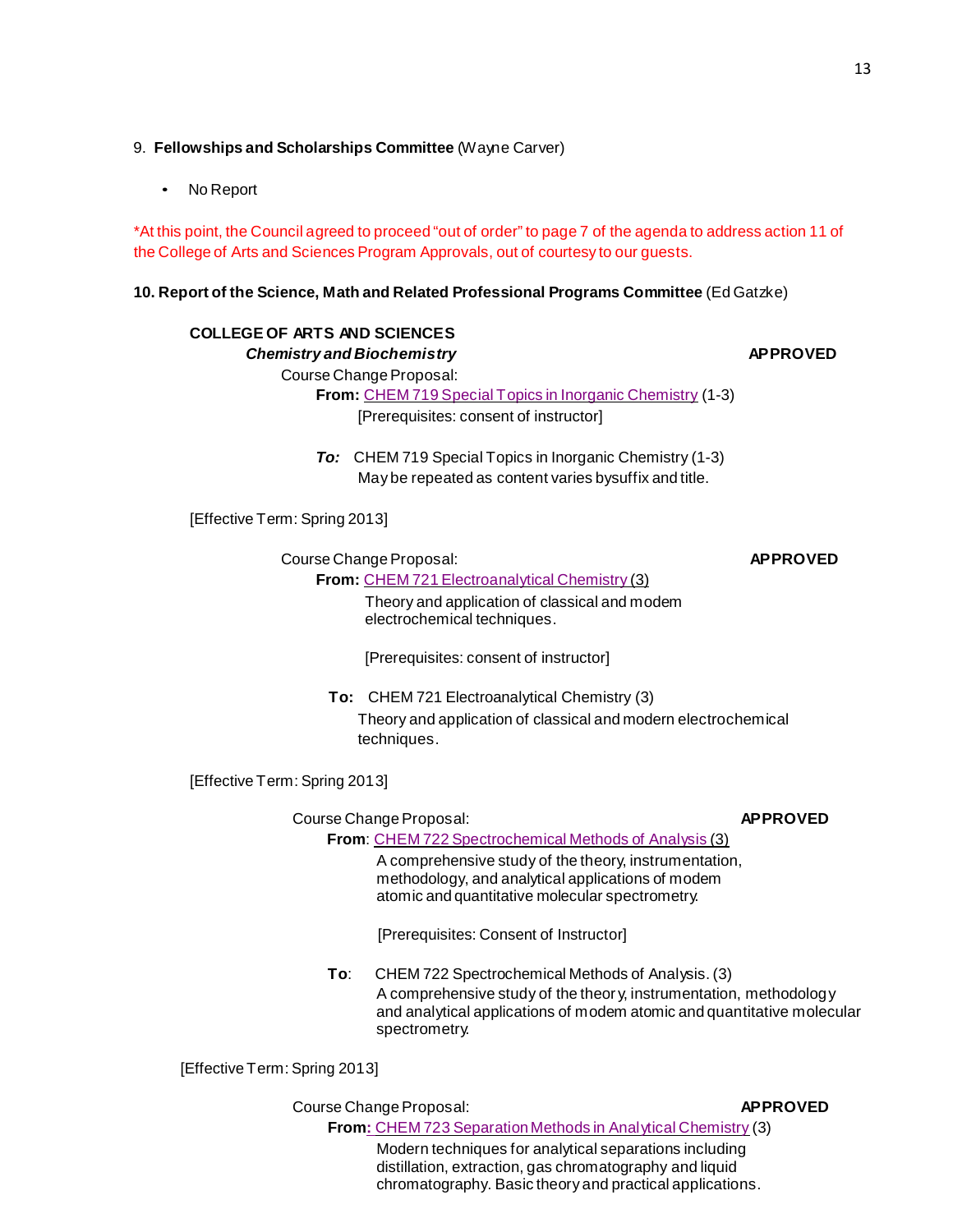# 9. **Fellowships and Scholarships Committee** (Wayne Carver)

No Report

\*At this point, the Council agreed to proceed "out of order" to page 7 of the agenda to address action 11 of the College of Arts and Sciences Program Approvals, out of courtesy to our guests.

## **10. Report of the Science, Math and Related Professional Programs Committee** (Ed Gatzke)

# **COLLEGE OF ARTS AND SCIENCES**

# *Chemistry and Biochemistry* **APPROVED**

Course Change Proposal:

**From:** CHEM 719 Special Topics in Inorganic [Chemistry](http://gradschool.sc.edu/facstaff/gradcouncil/2012/CCPCHEM719_201241.pdf) (1-3) [Prerequisites: consent of instructor]

*To:* CHEM 719 Special Topics in Inorganic Chemistry (1-3) Maybe repeated as content varies bysuffix and title.

[Effective Term: Spring 2013]

**Course Change Proposal: APPROVED** 

Theory and application of classical and modem electrochemical techniques.

[Prerequisites: consent of instructor]

**From:** CHEM 721 [Electroanalytical](http://gradschool.sc.edu/facstaff/gradcouncil/2012/CCPCHEM721_201241.pdf) Chemistry (3)

**To:** CHEM 721 Electroanalytical Chemistry (3) Theory and application of classical and modern electrochemical techniques.

[Effective Term: Spring 2013]

Course Change Proposal: **APPROVED** 

**From**: CHEM 722 [Spectrochemical](http://gradschool.sc.edu/facstaff/gradcouncil/2012/CCPCHEM722_201241.pdf) Methods of Analysis (3)

A comprehensive study of the theory, instrumentation, methodology, and analytical applications of modem atomic and quantitative molecular spectrometry.

[Prerequisites: Consent of Instructor]

**To**: CHEM 722 Spectrochemical Methods of Analysis. (3) A comprehensive study of the theor y, instrumentation, methodology and analytical applications of modem atomic and quantitative molecular spectrometry.

[Effective Term: Spring 2013]

Course Change Proposal: **APPROVED** 

From: CHEM 723 Separation Methods in Analytical Chemistry (3) Modern techniques for analytical separations including distillation, extraction, gas chromatography and liquid chromatography. Basic theory and practical applications.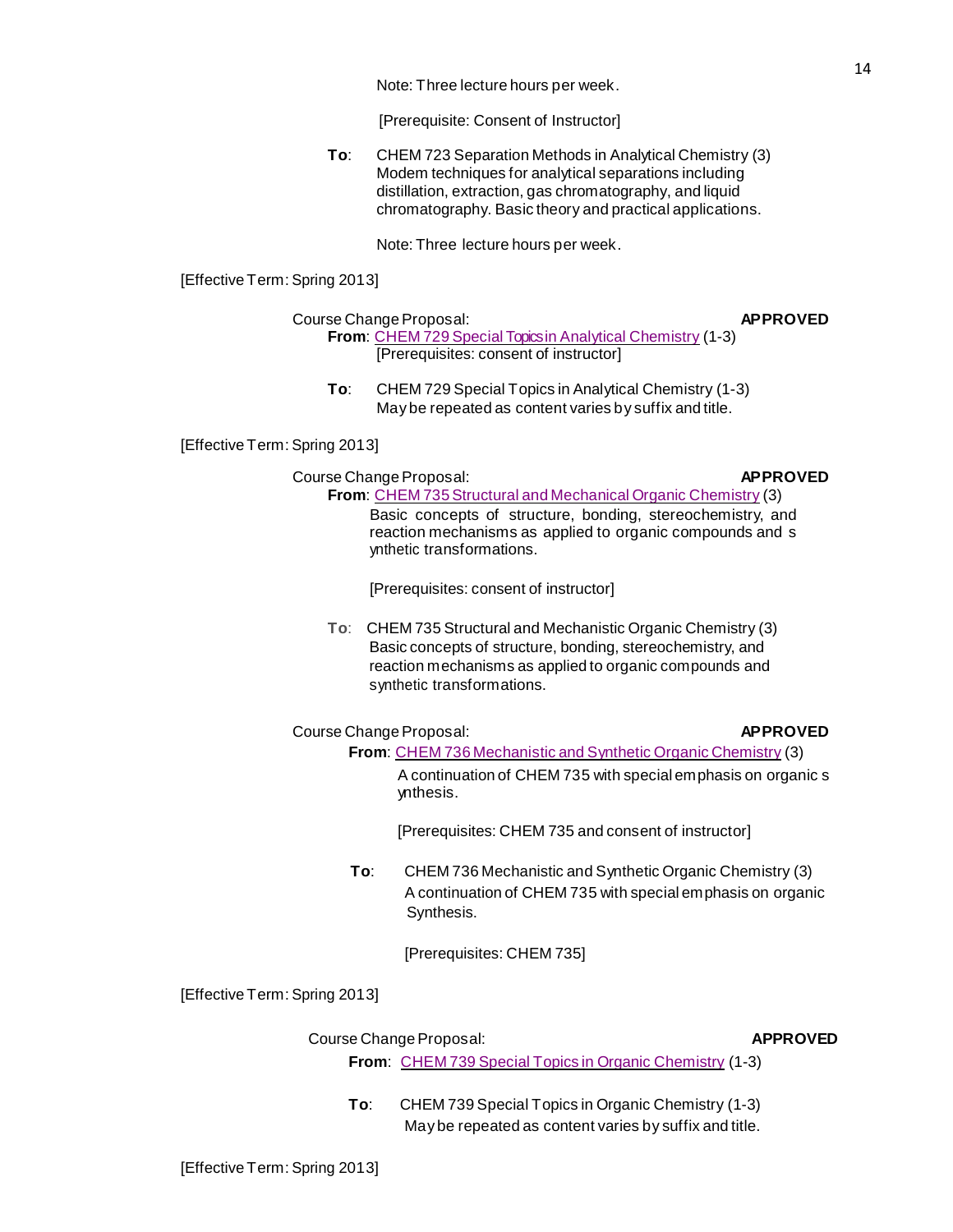Note: Three lecture hours per week.

[Prerequisite: Consent of Instructor]

**To**: CHEM 723 Separation Methods in Analytical Chemistry (3) Modem techniques for analytical separations including distillation, extraction, gas chromatography, and liquid chromatography. Basic theory and practical applications.

Note: Three lecture hours per week.

[Effective Term: Spring 2013]

### Course Change Proposal: **APPROVED From**: CHEM 729 Special Topicsin Analytical [Chemistry](http://gradschool.sc.edu/facstaff/gradcouncil/2012/CCPCHEM729_201241_Redacted.pdf) (1-3) [Prerequisites: consent of instructor]

**To**: CHEM 729 Special Topics in Analytical Chemistry (1-3) May be repeated as content varies by suffix and title.

[Effective Term: Spring 2013]

### Course Change Proposal: **APPROVED** From: CHEM 735 Structural and Mechanical Organic Chemistry (3) Basic concepts of structure, bonding, stereochemistry, and reaction mechanisms as applied to organic compounds and s ynthetic transformations.

[Prerequisites: consent of instructor]

**To**: CHEM 735 Structural and Mechanistic Organic Chemistry (3) Basic concepts of structure, bonding, stereochemistry, and reaction mechanisms as applied to organic compounds and synthetic transformations.

## Course Change Proposal: **APPROVED**

**From**: CHEM 736 [Mechanistic](http://gradschool.sc.edu/facstaff/gradcouncil/2012/CCPCHEM736_201241.pdf) and Synthetic Organic Chemistry (3) A continuation of CHEM 735 with special emphasis on organic s ynthesis.

[Prerequisites: CHEM 735 and consent of instructor]

**To**: CHEM 736 Mechanistic and Synthetic Organic Chemistry (3) A continuation of CHEM 735 with special emphasis on organic Synthesis.

[Prerequisites: CHEM 735]

[Effective Term: Spring 2013]

# Course Change Proposal: **APPROVED**

- **From**: CHEM 739 Special Topics in Organic [Chemistry](http://gradschool.sc.edu/facstaff/gradcouncil/2012/CCPCHEM739_201241.pdf) (1-3)
- **To**: CHEM 739 Special Topics in Organic Chemistry (1-3) May be repeated as content varies by suffix and title.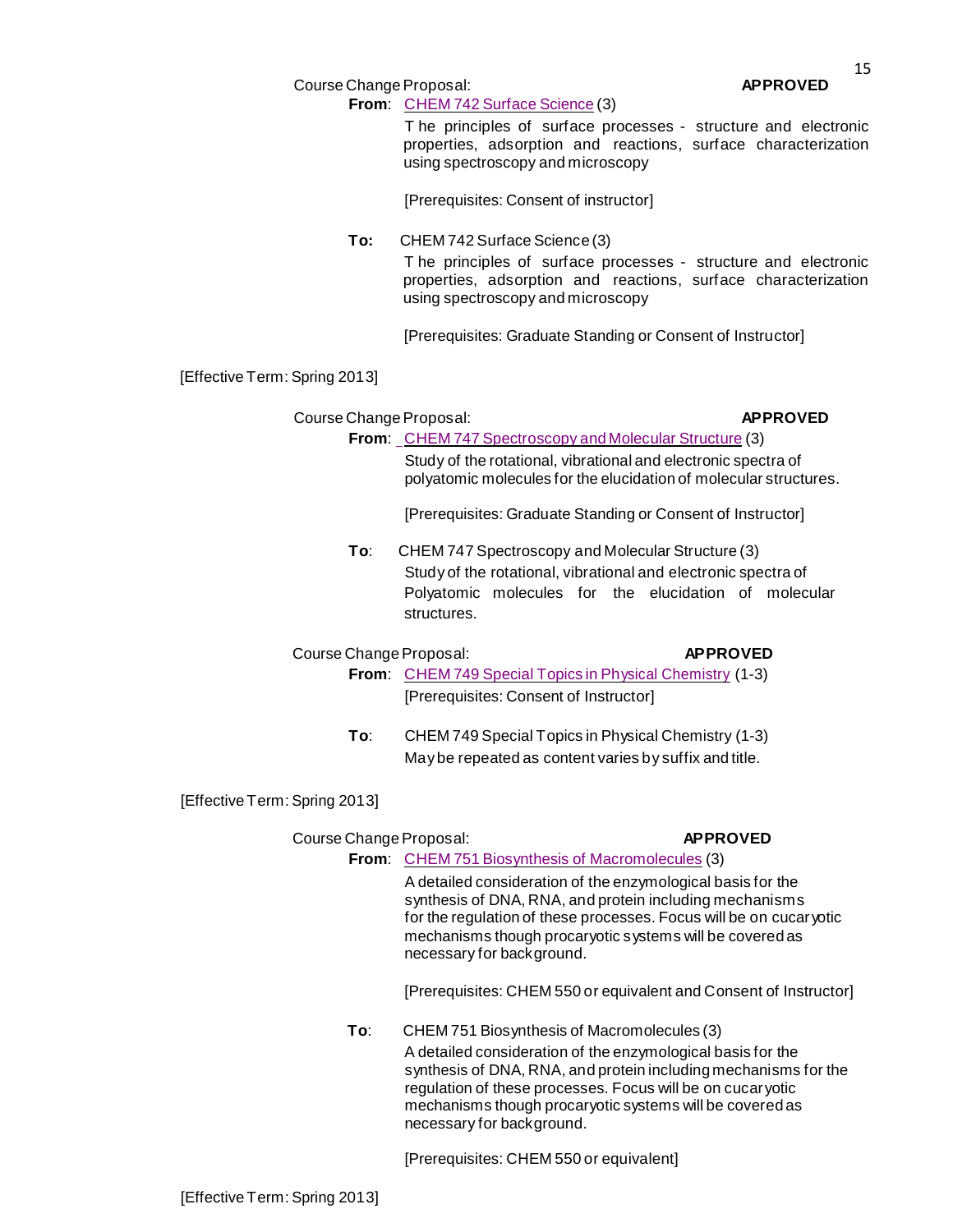15

Course Change Proposal: **APPROVED** 

# **From**: CHEM 742 Surface [Science](http://gradschool.sc.edu/facstaff/gradcouncil/2012/CCPCHEM742_201241.pdf) (3)

T he principles of surface processes - structure and electronic properties, adsorption and reactions, surface characterization using spectroscopy and microscopy

[Prerequisites: Consent of instructor]

**To:** CHEM 742 Surface Science (3) T he principles of surface processes - structure and electronic properties, adsorption and reactions, surface characterization using spectroscopy and microscopy

[Prerequisites: Graduate Standing or Consent of Instructor]

[Effective Term: Spring 2013]

Course Change Proposal: **APPROVED** 

**From**: CHEM 747 [Spectroscopy](http://gradschool.sc.edu/facstaff/gradcouncil/2012/CCPCHEM747_201241.pdf) and Molecular Structure (3) Study of the rotational, vibrational and electronic spectra of polyatomic molecules for the elucidation of molecular structures.

[Prerequisites: Graduate Standing or Consent of Instructor]

**To**: CHEM 747 Spectroscopy and Molecular Structure (3) Study of the rotational, vibrational and electronic spectra of Polyatomic molecules for the elucidation of molecular **structures** 

Course Change Proposal: **APPROVED** 

**From**: CHEM 749 Special Topics in Physical [Chemistry](http://gradschool.sc.edu/facstaff/gradcouncil/2012/CCPCHEM749_201241_Redacted.pdf) (1-3) [Prerequisites: Consent of Instructor]

**To**: CHEM 749 Special Topics in Physical Chemistry (1-3) Maybe repeated as content varies by suffix and title.

[Effective Term: Spring 2013]

# Course Change Proposal: **APPROVED**

**From**: CHEM 751 Biosynthesis [of Macromolecules](http://gradschool.sc.edu/facstaff/gradcouncil/2012/CCPCHEM751_201241.pdf) (3) A detailed consideration of the enzymological basis for the synthesis of DNA, RNA, and protein including mechanisms

for the regulation of these processes. Focus will be on cucar yotic mechanisms though procaryotic systems will be covered as necessary for background.

[Prerequisites: CHEM 550 or equivalent and Consent of Instructor]

**To**: CHEM 751 Biosynthesis of Macromolecules (3) A detailed consideration of the enzymological basis for the synthesis of DNA, RNA, and protein including mechanisms for the regulation of these processes. Focus will be on cucaryotic mechanisms though procaryotic systems will be covered as necessary for background.

[Prerequisites: CHEM 550 or equivalent]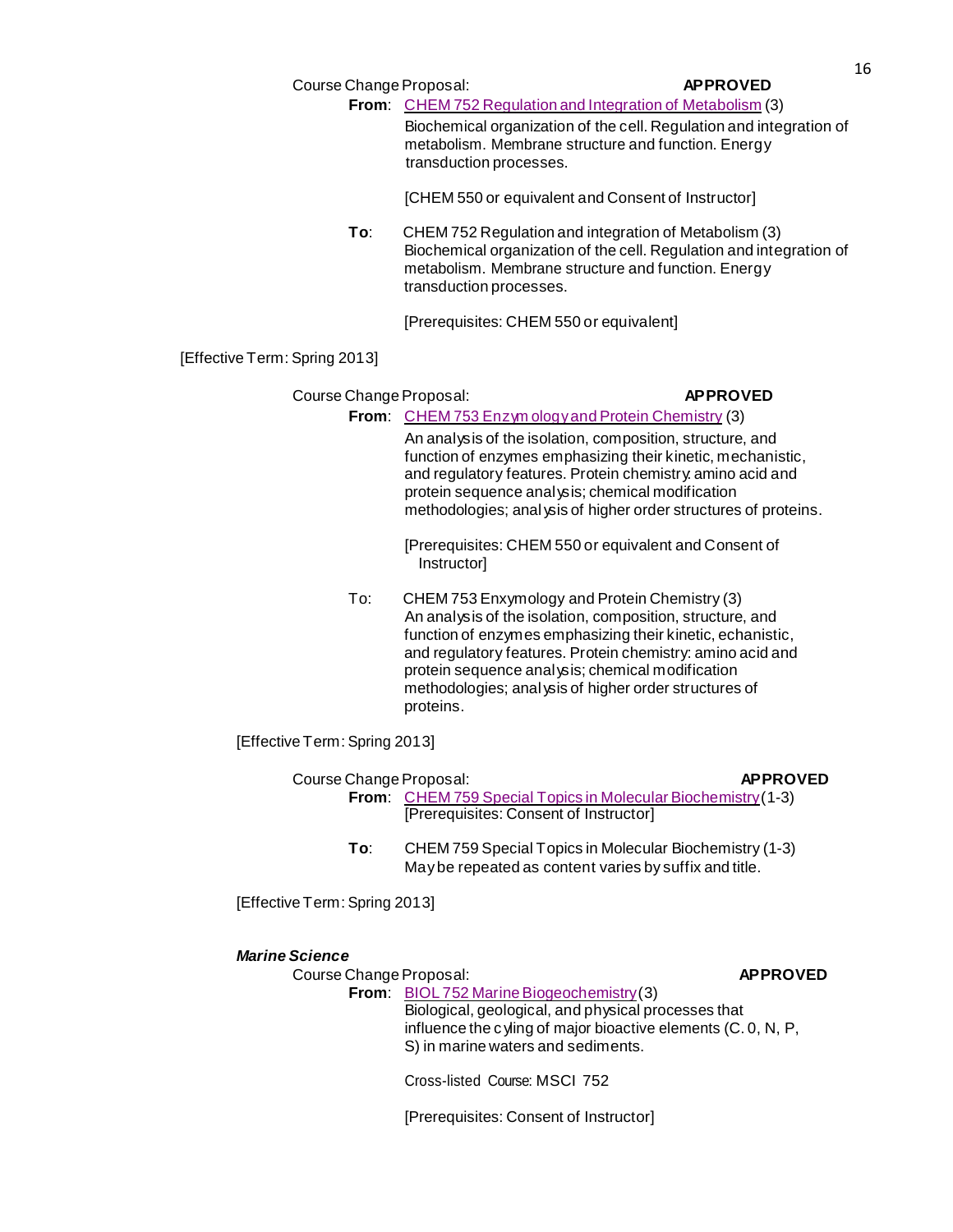|                               | Course Change Proposal:                 | <b>APPROVED</b>                                                                                                                                                                                                                                                                                                                                      |  |
|-------------------------------|-----------------------------------------|------------------------------------------------------------------------------------------------------------------------------------------------------------------------------------------------------------------------------------------------------------------------------------------------------------------------------------------------------|--|
|                               |                                         | From: CHEM 752 Regulation and Integration of Metabolism (3)                                                                                                                                                                                                                                                                                          |  |
|                               | transduction processes.                 | Biochemical organization of the cell. Regulation and integration of<br>metabolism. Membrane structure and function. Energy                                                                                                                                                                                                                           |  |
|                               |                                         | [CHEM 550 or equivalent and Consent of Instructor]                                                                                                                                                                                                                                                                                                   |  |
| To:                           | transduction processes.                 | CHEM 752 Regulation and integration of Metabolism (3)<br>Biochemical organization of the cell. Regulation and integration of<br>metabolism. Membrane structure and function. Energy                                                                                                                                                                  |  |
|                               | [Prerequisites: CHEM 550 or equivalent] |                                                                                                                                                                                                                                                                                                                                                      |  |
| [Effective Term: Spring 2013] |                                         |                                                                                                                                                                                                                                                                                                                                                      |  |
| Course Change Proposal:       |                                         | <b>APPROVED</b>                                                                                                                                                                                                                                                                                                                                      |  |
|                               |                                         | From: CHEM 753 Enzym ology and Protein Chemistry (3)                                                                                                                                                                                                                                                                                                 |  |
|                               |                                         | An analysis of the isolation, composition, structure, and<br>function of enzymes emphasizing their kinetic, mechanistic,<br>and regulatory features. Protein chemistry amino acid and<br>protein sequence analysis; chemical modification<br>methodologies; anal ysis of higher order structures of proteins.                                        |  |
|                               | Instructor]                             | [Prerequisites: CHEM 550 or equivalent and Consent of                                                                                                                                                                                                                                                                                                |  |
| To:                           |                                         | CHEM 753 Enxymology and Protein Chemistry (3)<br>An analysis of the isolation, composition, structure, and<br>function of enzymes emphasizing their kinetic, echanistic,<br>and regulatory features. Protein chemistry: amino acid and<br>protein sequence analysis; chemical modification<br>methodologies; anal ysis of higher order structures of |  |

[Effective Term: Spring 2013]

| Course Change Proposal: |                                                                      | <b>APPROVED</b> |
|-------------------------|----------------------------------------------------------------------|-----------------|
|                         | <b>From:</b> CHEM 759 Special Topics in Molecular Biochemistry (1-3) |                 |
|                         | [Prerequisites: Consent of Instructor]                               |                 |

**To**: CHEM 759 Special Topics in Molecular Biochemistry (1-3) Maybe repeated as content varies by suffix and title.

[Effective Term: Spring 2013]

# *Marine Science*

Course Change Proposal: **APPROVED** 

proteins.

From: BIOL 752 Marine Biogeochemistry(3) Biological, geological, and physical processes that influence the c yling of major bioactive elements (C. 0, N, P, S) in marine waters and sediments.

Cross-listed Course: MSCI 752

[Prerequisites: Consent of Instructor]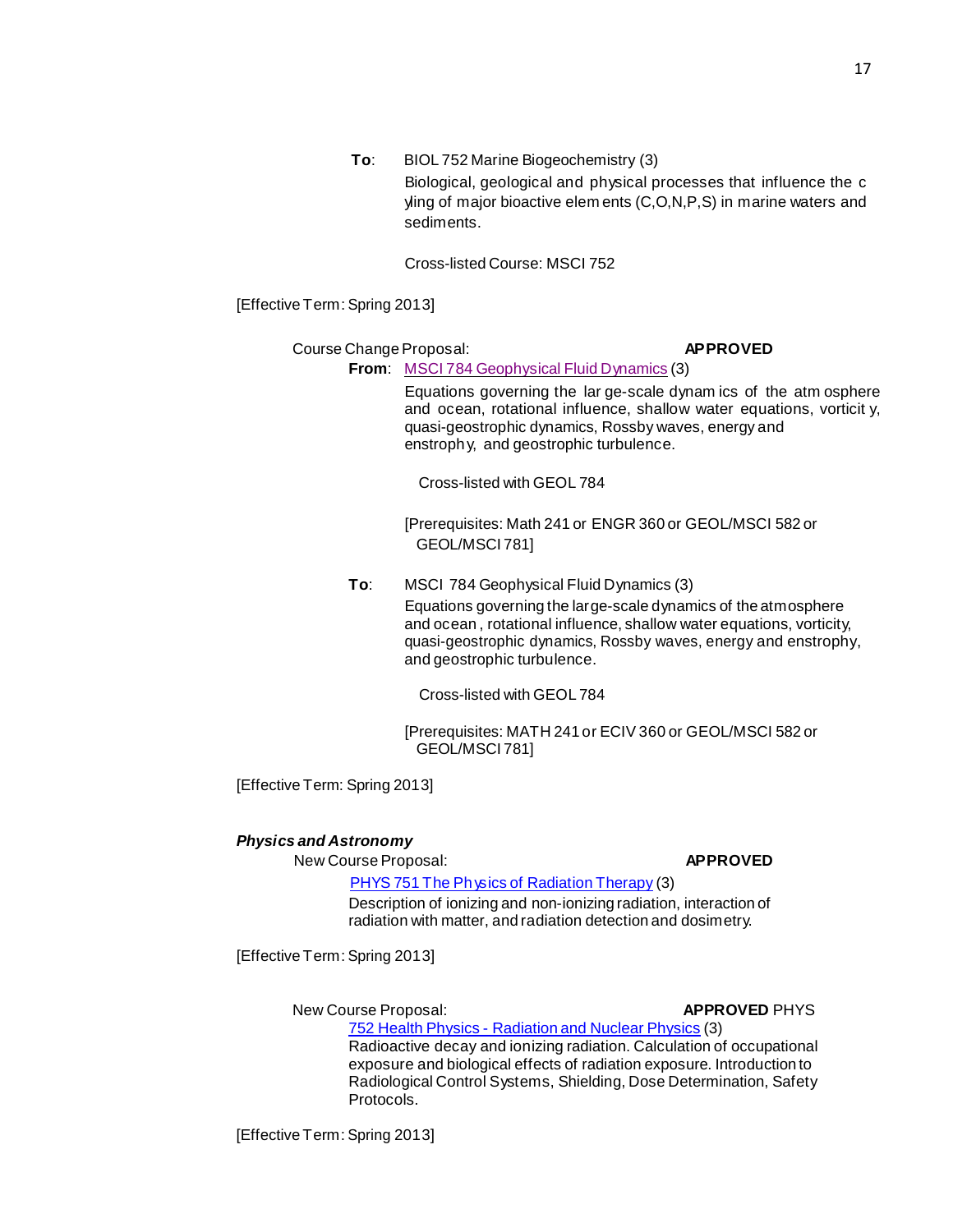**To**: BIOL 752 Marine Biogeochemistry (3) Biological, geological and physical processes that influence the c yling of major bioactive elem ents (C,O,N,P,S) in marine waters and sediments.

Cross-listed Course: MSCI 752

[Effective Term: Spring 2013]

Course Change Proposal: **APPROVED** 

**From**: MSCI 784 [Geophysical](http://gradschool.sc.edu/facstaff/gradcouncil/2012/CCPMSCIGEOL784_201241_Redacted.pdf) Fluid Dynamics (3)

Equations governing the lar ge-scale dynam ics of the atm osphere and ocean, rotational influence, shallow water equations, vorticit y, quasi-geostrophic dynamics, Rossby waves, energy and enstrophy, and geostrophic turbulence.

Cross-listed with GEOL 784

[Prerequisites: Math 241 or ENGR 360 or GEOL/MSCI 582 or GEOL/MSCI 781]

**To**: MSCI 784 Geophysical Fluid Dynamics (3) Equations governing the large-scale dynamics of the atmosphere and ocean , rotational influence, shallow water equations, vorticity, quasi-geostrophic dynamics, Rossby waves, energy and enstrophy, and geostrophic turbulence.

Cross-listed with GEOL 784

[Prerequisites: MATH 241 or ECIV 360 or GEOL/MSCI 582 or GEOL/MSCI 781]

[Effective Term: Spring 2013]

## *Physics and Astronomy*

New Course Proposal: **APPROVED**

PHYS 751 The Physics [of Radiation](http://gradschool.sc.edu/facstaff/gradcouncil/2012/PHYS%20751%20The%20Physics%20of%20Radiation%20Therapy%20NCP%20updated_Redacted.pdf) Therapy (3) Description of ionizing and non-ionizing radiation, interaction of radiation with matter, and radiation detection and dosimetry.

[Effective Term: Spring 2013]

New Course Proposal: **APPROVED** PHYS

752 Health Physics - [Radiation](http://gradschool.sc.edu/facstaff/gradcouncil/2012/PHYS%20752%20Health%20Physics%20Radiation%20and%20Nuclear%20Physics%20NCP_Redacted.pdf) and Nuclear Physics (3) Radioactive decay and ionizing radiation. Calculation of occupational exposure and biological effects of radiation exposure. Introduction to Radiological Control Systems, Shielding, Dose Determination, Safety Protocols.

[Effective Term: Spring 2013]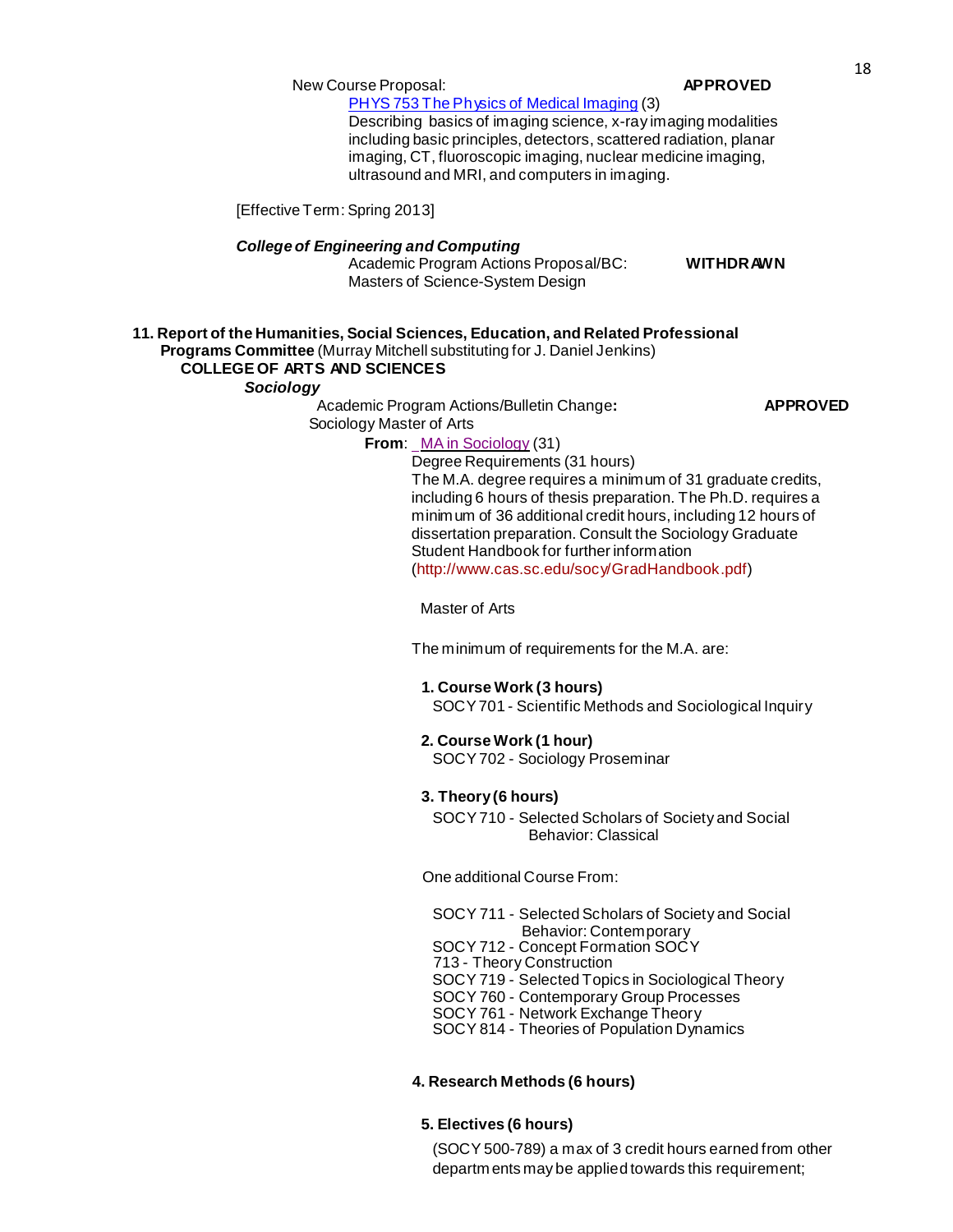# New Course Proposal: **APPROVED**

PHYS 753 The Physics of Medical [Imaging](http://gradschool.sc.edu/facstaff/gradcouncil/2012/NURS%20J%20793%20Advanced%20Practice%20Practicum%20CCP%20_Redacted.pdf) (3) Describing basics of imaging science, x-ray imaging modalities including basic principles, detectors, scattered radiation, planar imaging, CT, fluoroscopic imaging, nuclear medicine imaging,

ultrasound and MRI, and computers in imaging.

[Effective Term: Spring 2013]

### *Collegeof Engineering and Computing*

Academic Program Actions Proposal/BC: **WITHDRAWN** Masters of Science-System Design

#### **11. Report of the Humanities, Social Sciences, Education, and Related Professional Programs Committee** (Murray Mitchell substituting for J. Daniel Jenkins) **COLLEGE OF ARTS AND SCIENCES**

## *Sociology*

Academic Program Actions/Bulletin Change**: APPROVED** Sociology Master of Arts

# **From**: MA in [Sociology](http://gradschool.sc.edu/facstaff/gradcouncil/2012/APASOCMA_201241_Redacted.pdf) (31)

Degree Requirements (31 hours) The M.A. degree requires a minimum of 31 graduate credits, including 6 hours of thesis preparation. The Ph.D. requires a minimum of 36 additional credit hours, including 12 hours of dissertation preparation. Consult the Sociology Graduate Student Handbook for further information [\(http://www.cas.sc.edu/socy/GradHandbook.pdf\)](http://www.cas.sc.edu/socy/GradHandbook.pdf)

Master of Arts

The minimum of requirements for the M.A. are:

### **1. Course Work (3 hours)**

SOCY701 - Scientific Methods and Sociological Inquiry

#### **2. Course Work (1 hour)**

SOCY702 - Sociology Proseminar

# **3. Theory(6 hours)**

SOCY710 - Selected Scholars of Society and Social Behavior: Classical

One additional Course From:

SOCY 711 - Selected Scholars of Society and Social [Behavior:](http://bulletin.sc.edu/preview_course_nopop.php?catoid=35&amp%3Bamp%3Bamp%3Bamp%3Bcoid=77942) [Contemporary](http://bulletin.sc.edu/preview_course_nopop.php?catoid=35&amp%3Bamp%3Bamp%3Bamp%3Bcoid=77942) SOCY 712 - Concept [Formation](http://bulletin.sc.edu/preview_course_nopop.php?catoid=35&amp%3Bamp%3Bamp%3Bamp%3Bcoid=77943) [SOCY](http://bulletin.sc.edu/preview_course_nopop.php?catoid=35&amp%3Bamp%3Bamp%3Bamp%3Bcoid=77943) 713 - Theory [Construction](http://bulletin.sc.edu/preview_course_nopop.php?catoid=35&amp%3Bamp%3Bamp%3Bamp%3Bcoid=77944)

SOCY 719 - Selected Topics in [Sociological](http://bulletin.sc.edu/preview_course_nopop.php?catoid=35&amp%3Bamp%3Bamp%3Bamp%3Bcoid=77945) Theory

- SOCY 760 [Contemporary](http://bulletin.sc.edu/preview_course_nopop.php?catoid=35&amp%3Bamp%3Bamp%3Bamp%3Bcoid=77955) Group Processes
- SOCY 761 Network [Exchange](http://bulletin.sc.edu/preview_course_nopop.php?catoid=35&amp%3Bamp%3Bamp%3Bamp%3Bcoid=77956) Theory
- SOCY 814 Theories of [Population](http://bulletin.sc.edu/preview_course_nopop.php?catoid=35&amp%3Bamp%3Bamp%3Bamp%3Bcoid=77966) Dynamics

## **4. Research Methods (6 hours)**

## **5. Electives (6 hours)**

(SOCY 500-789) a max of 3 credit hours earned from other departm ents may be applied towards this requirement;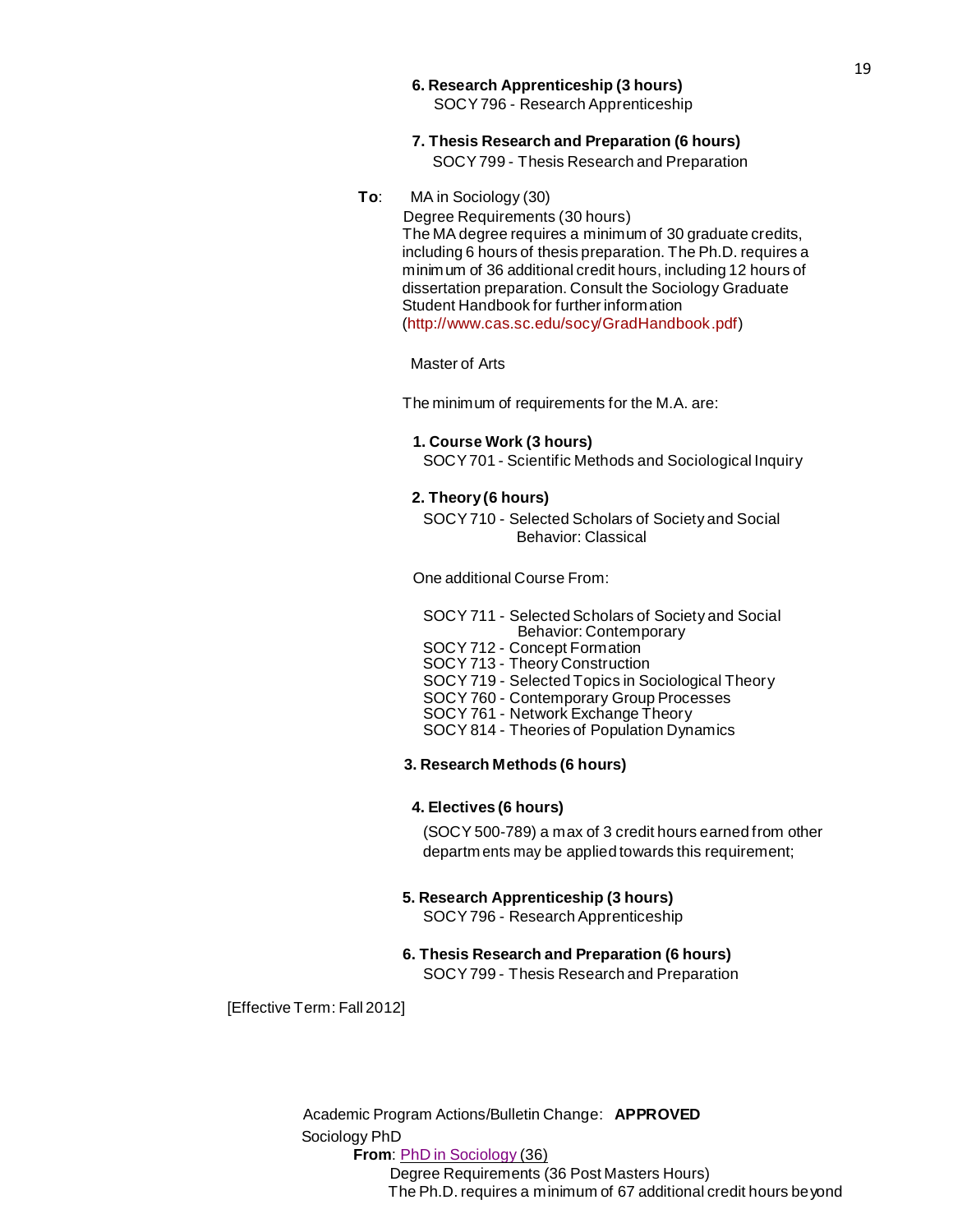- **6. Research Apprenticeship (3 hours)** SOCY796 - Research Apprenticeship
- **7. Thesis Research and Preparation (6 hours)** SOCY799 - Thesis Research and Preparation
- **To**: MA in Sociology (30)

Degree Requirements (30 hours) The MA degree requires a minimum of 30 graduate credits, including 6 hours of thesis preparation. The Ph.D. requires a minimum of 36 additional credit hours, including 12 hours of dissertation preparation. Consult the Sociology Graduate Student Handbook for further information [\(http://www.cas.sc.edu/socy/GradHandbook.pdf\)](http://www.cas.sc.edu/socy/GradHandbook.pdf)

Master of Arts

The minimum of requirements for the M.A. are:

#### **1. Course Work (3 hours)**

SOCY701 - Scientific Methods and Sociological Inquiry

#### **2. Theory(6 hours)**

SOCY710 - Selected Scholars of Society and Social Behavior: Classical

One additional Course From:

- SOCY 711 Selected Scholars of Society and Social [Behavior:](http://bulletin.sc.edu/preview_course_nopop.php?catoid=35&amp%3Bamp%3Bamp%3Bamp%3Bcoid=77942) [Contemporary](http://bulletin.sc.edu/preview_course_nopop.php?catoid=35&amp%3Bamp%3Bamp%3Bamp%3Bcoid=77942)
- SOCY 712 Concept [Formation](http://bulletin.sc.edu/preview_course_nopop.php?catoid=35&amp%3Bamp%3Bamp%3Bamp%3Bcoid=77943)
- SOCY 713 Theory [Construction](http://bulletin.sc.edu/preview_course_nopop.php?catoid=35&amp%3Bamp%3Bamp%3Bamp%3Bcoid=77944)
- SOCY 719 Selected Topics in [Sociological](http://bulletin.sc.edu/preview_course_nopop.php?catoid=35&amp%3Bamp%3Bamp%3Bamp%3Bcoid=77945) Theory
- SOCY 760 [Contemporary](http://bulletin.sc.edu/preview_course_nopop.php?catoid=35&amp%3Bamp%3Bamp%3Bamp%3Bcoid=77955) Group Processes
- SOCY 761 Network [Exchange](http://bulletin.sc.edu/preview_course_nopop.php?catoid=35&amp%3Bamp%3Bamp%3Bamp%3Bcoid=77956) Theory
- SOCY 814 Theories of [Population](http://bulletin.sc.edu/preview_course_nopop.php?catoid=35&amp%3Bamp%3Bamp%3Bamp%3Bcoid=77966) Dynamics

#### **3. Research Methods (6 hours)**

#### **4. Electives (6 hours)**

(SOCY 500-789) a max of 3 credit hours earned from other departm ents may be applied towards this requirement;

#### **5. Research Apprenticeship (3 hours)**

SOCY796 - Research Apprenticeship

#### **6. Thesis Research and Preparation (6 hours)**

SOCY799 - Thesis Research and Preparation

[Effective Term: Fall 2012]

Academic Program Actions/Bulletin Change: **APPROVED** Sociology PhD **From**: PhD in [Sociology](http://gradschool.sc.edu/facstaff/gradcouncil/2012/APASOCPHD_201241_Redacted.pdf) (36) Degree Requirements (36 Post Masters Hours)

The Ph.D. requires a minimum of 67 additional credit hours beyond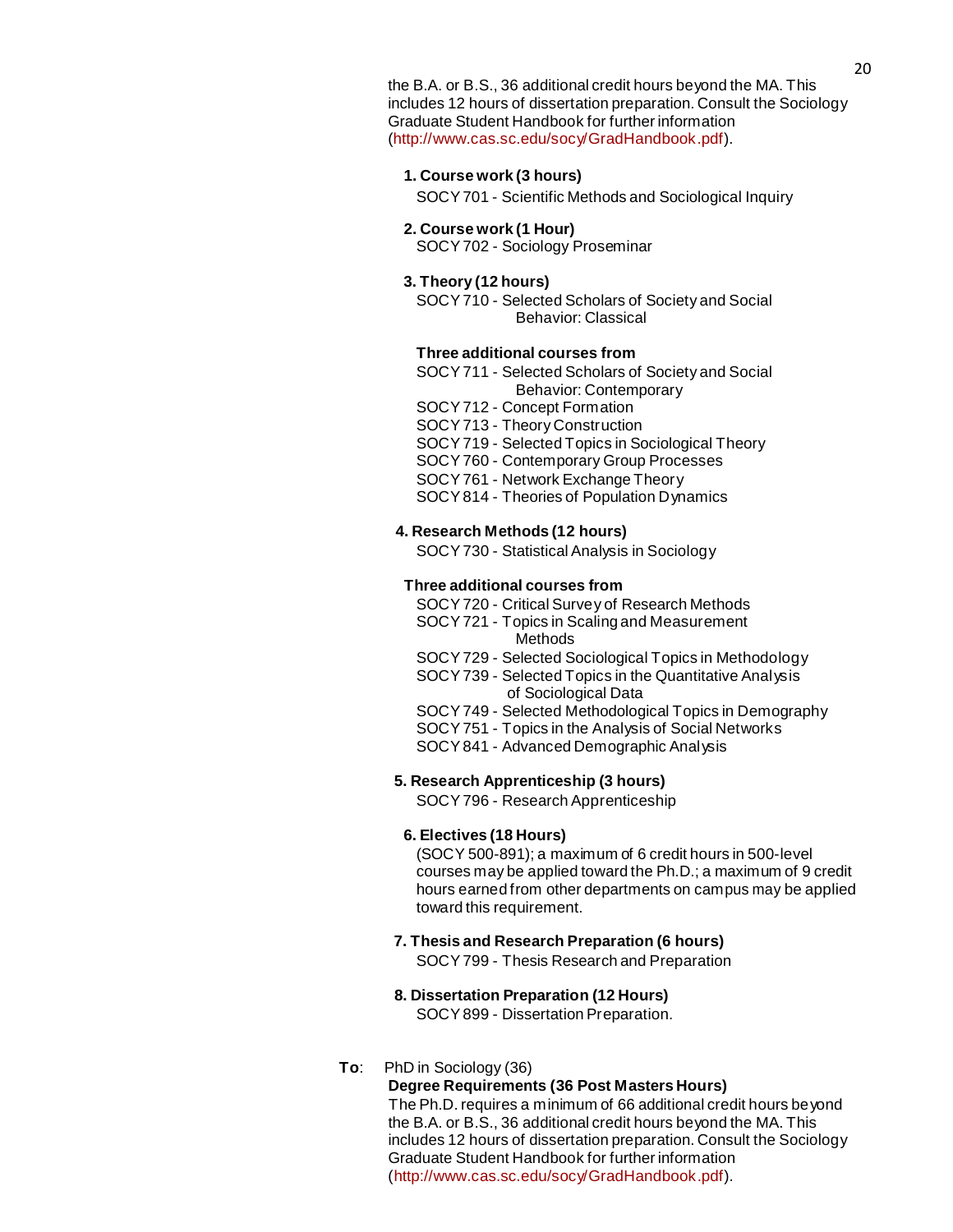the B.A. or B.S., 36 additional credit hours beyond the MA. This includes 12 hours of dissertation preparation. Consult the Sociology Graduate Student Handbook for further information [\(http://www.cas.sc.edu/socy/GradHandbook.pdf\)](http://www.cas.sc.edu/socy/GradHandbook.pdf).

### **1. Course work (3 hours)**

SOCY701 - Scientific Methods and [Sociological](http://bulletin.sc.edu/preview_course_nopop.php?catoid=35&amp%3Bamp%3Bamp%3Bamp%3Bcoid=77938) Inquiry

#### **2. Course work (1 Hour)**

SOCY702 - Sociology [Proseminar](http://bulletin.sc.edu/preview_course_nopop.php?catoid=35&amp%3Bamp%3Bamp%3Bamp%3Bcoid=77939)

#### **3. Theory (12 hours)**

[SOCY710](http://bulletin.sc.edu/preview_course_nopop.php?catoid=35&amp%3Bamp%3Bamp%3Bamp%3Bcoid=77941) - Selected Scholars of Society and Social [Behavior:](http://bulletin.sc.edu/preview_course_nopop.php?catoid=35&amp%3Bamp%3Bamp%3Bamp%3Bcoid=77941) [Classical](http://bulletin.sc.edu/preview_course_nopop.php?catoid=35&amp%3Bamp%3Bamp%3Bamp%3Bcoid=77941)

#### **Three additional courses from**

- [SOCY711](http://bulletin.sc.edu/preview_course_nopop.php?catoid=35&amp%3Bamp%3Bamp%3Bamp%3Bcoid=77942) Selected Scholars of Society and Social [Behavior:](http://bulletin.sc.edu/preview_course_nopop.php?catoid=35&amp%3Bamp%3Bamp%3Bamp%3Bcoid=77942) [Contemporary](http://bulletin.sc.edu/preview_course_nopop.php?catoid=35&amp%3Bamp%3Bamp%3Bamp%3Bcoid=77942)
- [SOCY712](http://bulletin.sc.edu/preview_course_nopop.php?catoid=35&amp%3Bamp%3Bamp%3Bamp%3Bcoid=77943) Concept Formation
- SOCY713 Theory [Construction](http://bulletin.sc.edu/preview_course_nopop.php?catoid=35&amp%3Bamp%3Bamp%3Bamp%3Bcoid=77944)
- SOCY719 Selected Topics in [Sociological](http://bulletin.sc.edu/preview_course_nopop.php?catoid=35&amp%3Bamp%3Bamp%3Bamp%3Bcoid=77945) Theory
- SOCY760 [Contemporary](http://bulletin.sc.edu/preview_course_nopop.php?catoid=35&amp%3Bamp%3Bamp%3Bamp%3Bcoid=77955) Group Processes
- [SOCY761](http://bulletin.sc.edu/preview_course_nopop.php?catoid=35&amp%3Bamp%3Bamp%3Bamp%3Bcoid=77956) Network Exchange Theory
- SOCY814 Theories [of Population](http://bulletin.sc.edu/preview_course_nopop.php?catoid=35&amp%3Bamp%3Bamp%3Bamp%3Bcoid=77966) Dynamics

## **4. Research Methods (12 hours)**

[SOCY730](http://bulletin.sc.edu/preview_course_nopop.php?catoid=35&amp%3Bamp%3Bamp%3Bamp%3Bcoid=77949) - Statistical Analysis in Sociology

#### **Three additional courses from**

- SOCY720 Critical Survey [of Research](http://bulletin.sc.edu/preview_course_nopop.php?catoid=35&amp%3Bamp%3Bamp%3Bamp%3Bcoid=77946) Methods
- SOCY721 Topics in Scaling and [Measurement](http://bulletin.sc.edu/preview_course_nopop.php?catoid=35&amp%3Bamp%3Bamp%3Bamp%3Bcoid=77947) [Methods](http://bulletin.sc.edu/preview_course_nopop.php?catoid=35&amp%3Bamp%3Bamp%3Bamp%3Bcoid=77947)
- SOCY729 Selected Sociological Topics in [Methodology](http://bulletin.sc.edu/preview_course_nopop.php?catoid=35&amp%3Bamp%3Bamp%3Bamp%3Bcoid=77948)
- SOCY739 Selected Topics in the [Quantitative](http://bulletin.sc.edu/preview_course_nopop.php?catoid=35&amp%3Bamp%3Bamp%3Bamp%3Bcoid=77950) Analysi[s](http://bulletin.sc.edu/preview_course_nopop.php?catoid=35&amp%3Bamp%3Bamp%3Bamp%3Bcoid=77950) [of Sociological](http://bulletin.sc.edu/preview_course_nopop.php?catoid=35&amp%3Bamp%3Bamp%3Bamp%3Bcoid=77950) Data
- SOCY749 Selected [Methodological](http://bulletin.sc.edu/preview_course_nopop.php?catoid=35&amp%3Bamp%3Bamp%3Bamp%3Bcoid=77952) Topics in Demography
- [SOCY751](http://bulletin.sc.edu/preview_course_nopop.php?catoid=35&amp%3Bamp%3Bamp%3Bamp%3Bcoid=77953) Topics in the Analysis of Social Networks
- SOCY841 Advanced [Demographic](http://bulletin.sc.edu/preview_course_nopop.php?catoid=35&amp%3Bamp%3Bamp%3Bamp%3Bcoid=77967) Analysis

#### **5. Research Apprenticeship (3 hours)**

SOCY796 - Research [Apprenticeship](http://bulletin.sc.edu/preview_course_nopop.php?catoid=35&amp%3Bamp%3Bamp%3Bamp%3Bcoid=77964)

#### **6. Electives (18 Hours)**

(SOCY 500-891); a maximum of 6 credit hours in 500-level courses may be applied toward the Ph.D.; a maximum of 9 credit hours earned from other departments on campus may be applied toward this requirement.

**7. Thesis and Research Preparation (6 hours)**

SOCY799 - Thesis Research and [Preparation](http://bulletin.sc.edu/preview_course_nopop.php?catoid=35&amp%3Bamp%3Bamp%3Bamp%3Bcoid=77965)

#### **8. Dissertation Preparation (12 Hours)**

SOCY899 - Dissertation [Preparation.](http://bulletin.sc.edu/preview_course_nopop.php?catoid=35&amp%3Bamp%3Bamp%3Bamp%3Bcoid=77970)

### **To**: PhD in Sociology (36)

### **Degree Requirements (36 Post Masters Hours)**

The Ph.D. requires a minimum of 66 additional credit hours beyond the B.A. or B.S., 36 additional credit hours beyond the MA. This includes 12 hours of dissertation preparation. Consult the Sociology Graduate Student Handbook for further information [\(http://www.cas.sc.edu/socy/GradHandbook.pdf\)](http://www.cas.sc.edu/socy/GradHandbook.pdf).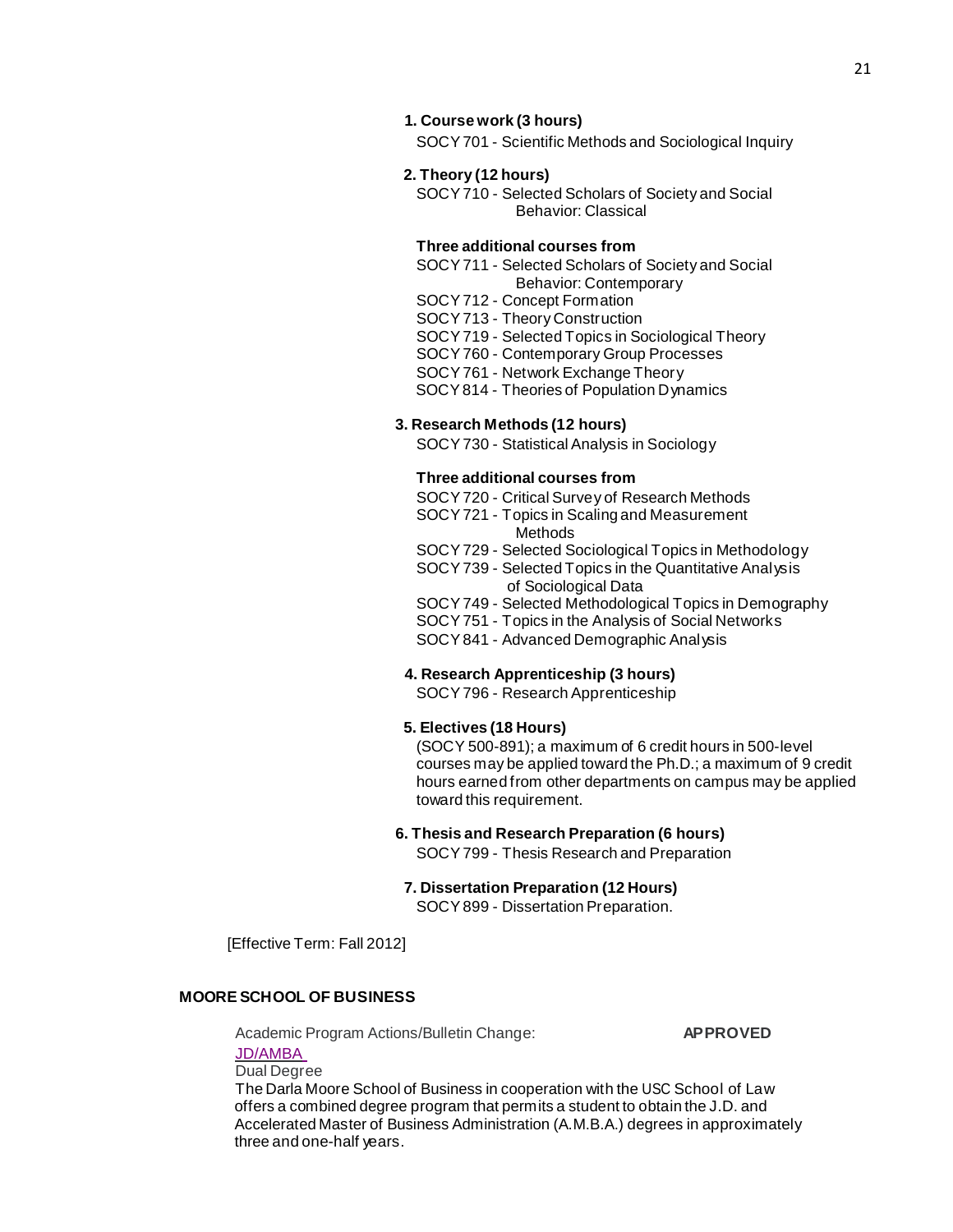SOCY701 - Scientific Methods and [Sociological](http://bulletin.sc.edu/preview_course_nopop.php?catoid=35&amp%3Bamp%3Bamp%3Bamp%3Bcoid=77938) Inquiry

#### **2. Theory (12 hours)**

[SOCY710](http://bulletin.sc.edu/preview_course_nopop.php?catoid=35&amp%3Bamp%3Bamp%3Bamp%3Bcoid=77941) - Selected Scholars of Society and Social [Behavior:](http://bulletin.sc.edu/preview_course_nopop.php?catoid=35&amp%3Bamp%3Bamp%3Bamp%3Bcoid=77941) [Classical](http://bulletin.sc.edu/preview_course_nopop.php?catoid=35&amp%3Bamp%3Bamp%3Bamp%3Bcoid=77941)

#### **Three additional courses from**

[SOCY711](http://bulletin.sc.edu/preview_course_nopop.php?catoid=35&amp%3Bamp%3Bamp%3Bamp%3Bcoid=77942) - Selected Scholars of Society and Social [Behavior:](http://bulletin.sc.edu/preview_course_nopop.php?catoid=35&amp%3Bamp%3Bamp%3Bamp%3Bcoid=77942) [Contemporary](http://bulletin.sc.edu/preview_course_nopop.php?catoid=35&amp%3Bamp%3Bamp%3Bamp%3Bcoid=77942)

[SOCY712](http://bulletin.sc.edu/preview_course_nopop.php?catoid=35&amp%3Bamp%3Bamp%3Bamp%3Bcoid=77943) - Concept Formation

SOCY713 - Theory [Construction](http://bulletin.sc.edu/preview_course_nopop.php?catoid=35&amp%3Bamp%3Bamp%3Bamp%3Bcoid=77944)

SOCY719 - Selected Topics in [Sociological](http://bulletin.sc.edu/preview_course_nopop.php?catoid=35&amp%3Bamp%3Bamp%3Bamp%3Bcoid=77945) Theory

SOCY760 - [Contemporary](http://bulletin.sc.edu/preview_course_nopop.php?catoid=35&amp%3Bamp%3Bamp%3Bamp%3Bcoid=77955) Group Processes

[SOCY761](http://bulletin.sc.edu/preview_course_nopop.php?catoid=35&amp%3Bamp%3Bamp%3Bamp%3Bcoid=77956) - Network Exchange Theory

SOCY814 - Theories [of Population](http://bulletin.sc.edu/preview_course_nopop.php?catoid=35&amp%3Bamp%3Bamp%3Bamp%3Bcoid=77966) Dynamics

#### **3. Research Methods (12 hours)**

[SOCY730](http://bulletin.sc.edu/preview_course_nopop.php?catoid=35&amp%3Bamp%3Bamp%3Bamp%3Bcoid=77949) - Statistical Analysis in Sociology

#### **Three additional courses from**

SOCY720 - Critical Survey [of Research](http://bulletin.sc.edu/preview_course_nopop.php?catoid=35&amp%3Bamp%3Bamp%3Bamp%3Bcoid=77946) Methods

- SOCY721 Topics in Scaling and [Measurement](http://bulletin.sc.edu/preview_course_nopop.php?catoid=35&amp%3Bamp%3Bamp%3Bamp%3Bcoid=77947) [Methods](http://bulletin.sc.edu/preview_course_nopop.php?catoid=35&amp%3Bamp%3Bamp%3Bamp%3Bcoid=77947)
- SOCY729 Selected Sociological Topics in [Methodology](http://bulletin.sc.edu/preview_course_nopop.php?catoid=35&amp%3Bamp%3Bamp%3Bamp%3Bcoid=77948)

SOCY739 - Selected Topics in the [Quantitative](http://bulletin.sc.edu/preview_course_nopop.php?catoid=35&amp%3Bamp%3Bamp%3Bamp%3Bcoid=77950) Analysi[s](http://bulletin.sc.edu/preview_course_nopop.php?catoid=35&amp%3Bamp%3Bamp%3Bamp%3Bcoid=77950) [of Sociological](http://bulletin.sc.edu/preview_course_nopop.php?catoid=35&amp%3Bamp%3Bamp%3Bamp%3Bcoid=77950) Data

- SOCY749 Selected [Methodological](http://bulletin.sc.edu/preview_course_nopop.php?catoid=35&amp%3Bamp%3Bamp%3Bamp%3Bcoid=77952) Topics in Demography
- [SOCY751](http://bulletin.sc.edu/preview_course_nopop.php?catoid=35&amp%3Bamp%3Bamp%3Bamp%3Bcoid=77953) Topics in the Analysis of Social Networks

SOCY841 - Advanced [Demographic](http://bulletin.sc.edu/preview_course_nopop.php?catoid=35&amp%3Bamp%3Bamp%3Bamp%3Bcoid=77967) Analysis

#### **4. Research Apprenticeship (3 hours)**

SOCY796 - Research [Apprenticeship](http://bulletin.sc.edu/preview_course_nopop.php?catoid=35&amp%3Bamp%3Bamp%3Bamp%3Bcoid=77964)

### **5. Electives (18 Hours)**

(SOCY 500-891); a maximum of 6 credit hours in 500-level courses may be applied toward the Ph.D.; a maximum of 9 credit hours earned from other departments on campus may be applied toward this requirement.

#### **6. Thesis and Research Preparation (6 hours)**

SOCY799 - Thesis Research and [Preparation](http://bulletin.sc.edu/preview_course_nopop.php?catoid=35&amp%3Bamp%3Bamp%3Bamp%3Bcoid=77965)

**7. Dissertation Preparation (12 Hours)**

SOCY899 - Dissertation [Preparation.](http://bulletin.sc.edu/preview_course_nopop.php?catoid=35&amp%3Bamp%3Bamp%3Bamp%3Bcoid=77970) 

[Effective Term: Fall 2012]

# **MOORE SCHOOL OF BUSINESS**

Academic Program Actions/Bulletin Change: **APPROVED** 

[JD/AMBA](http://gradschool.sc.edu/facstaff/gradcouncil/2012/APAJDAMBA_201241_Redacted.pdf) Dual Degree

The Darla Moore School of Business in cooperation with the USC School of Law offers a combined degree program that permits a student to obtain the J.D. and Accelerated Master of Business Administration (A.M.B.A.) degrees in approximately three and one-half years.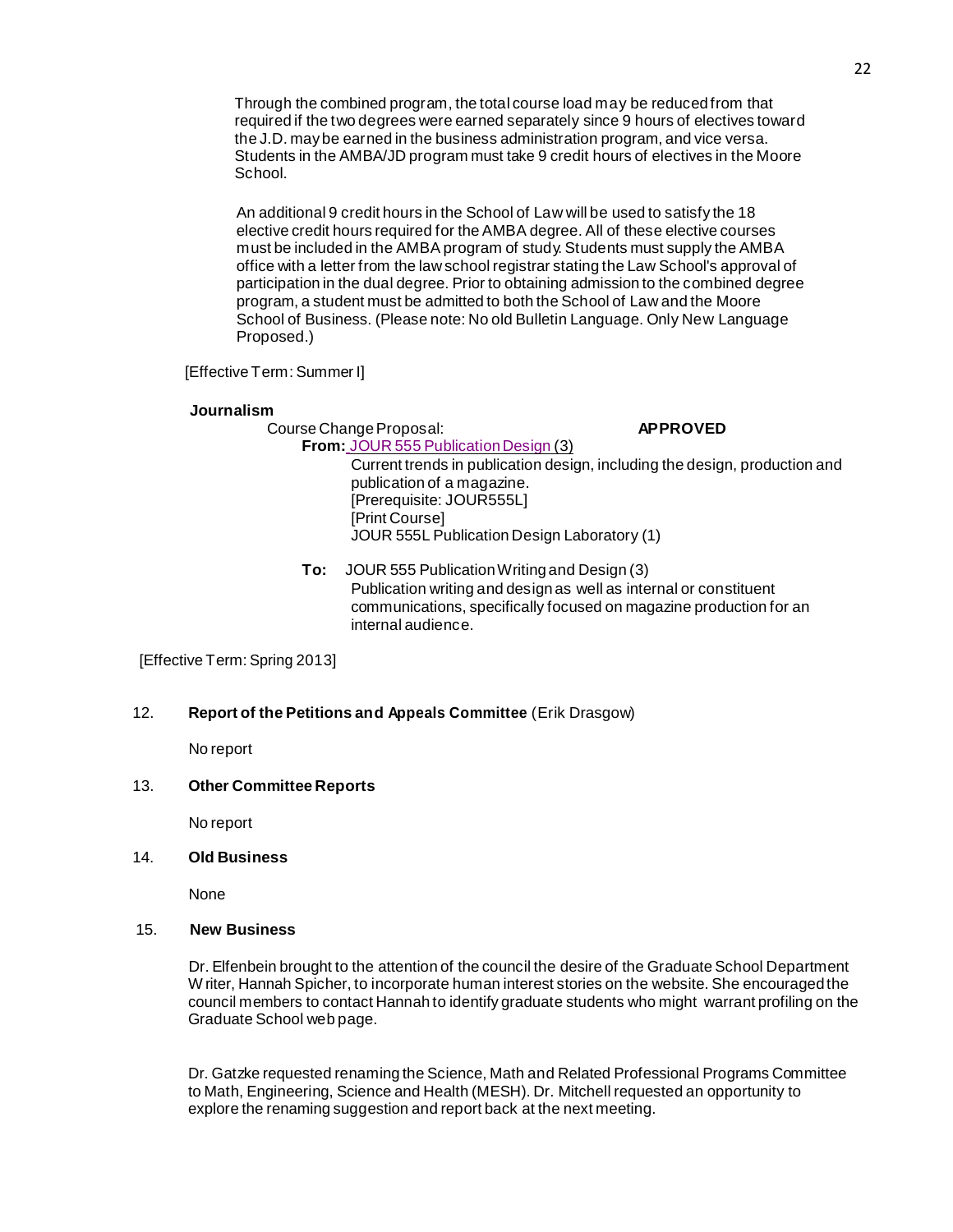Through the combined program, the total course load may be reducedfrom that required if the two degrees were earned separately since 9 hours of electives toward the J.D. maybe earned in the business administration program, and vice versa. Students in the AMBA/JD program must take 9 credit hours of electives in the Moore School.

An additional 9 credit hours in the School of Law will be used to satisfy the 18 elective credit hours required for the AMBA degree. All of these elective courses must be included in the AMBA program of study. Students must supply the AMBA office with a letter from the law school registrar stating the Law School's approval of participation in the dual degree. Prior to obtaining admission to the combined degree program, a student must be admitted to both the School of Law and the Moore School of Business. (Please note: No old Bulletin Language. Only New Language Proposed.)

[Effective Term: Summer I]

### **Journalism**

Course Change Proposal: **APPROVED From:** JOUR 555 Publication Design (3) Current trends in publication design, including the design, production and

publication of a magazine. [Prerequisite: JOUR555L] [Print Course] JOUR 555L Publication Design Laboratory (1)

**To:** JOUR 555 PublicationWriting and Design (3) Publication writing and design as well as internal or constituent communications, specifically focused on magazine production for an internal audience.

[Effective Term: Spring 2013]

# 12. **Report of the Petitions and Appeals Committee** (Erik Drasgow)

No report

## 13. **Other Committee Reports**

No report

## 14. **Old Business**

None

## 15. **New Business**

Dr. Elfenbein brought to the attention of the council the desire of the Graduate School Department W riter, Hannah Spicher, to incorporate human interest stories on the website. She encouragedthe council members to contact Hannah to identify graduate students who might warrant profiling on the Graduate School web page.

Dr. Gatzke requested renaming the Science, Math and Related Professional Programs Committee to Math, Engineering, Science and Health (MESH). Dr. Mitchell requested an opportunity to explore the renaming suggestion and report back at the next meeting.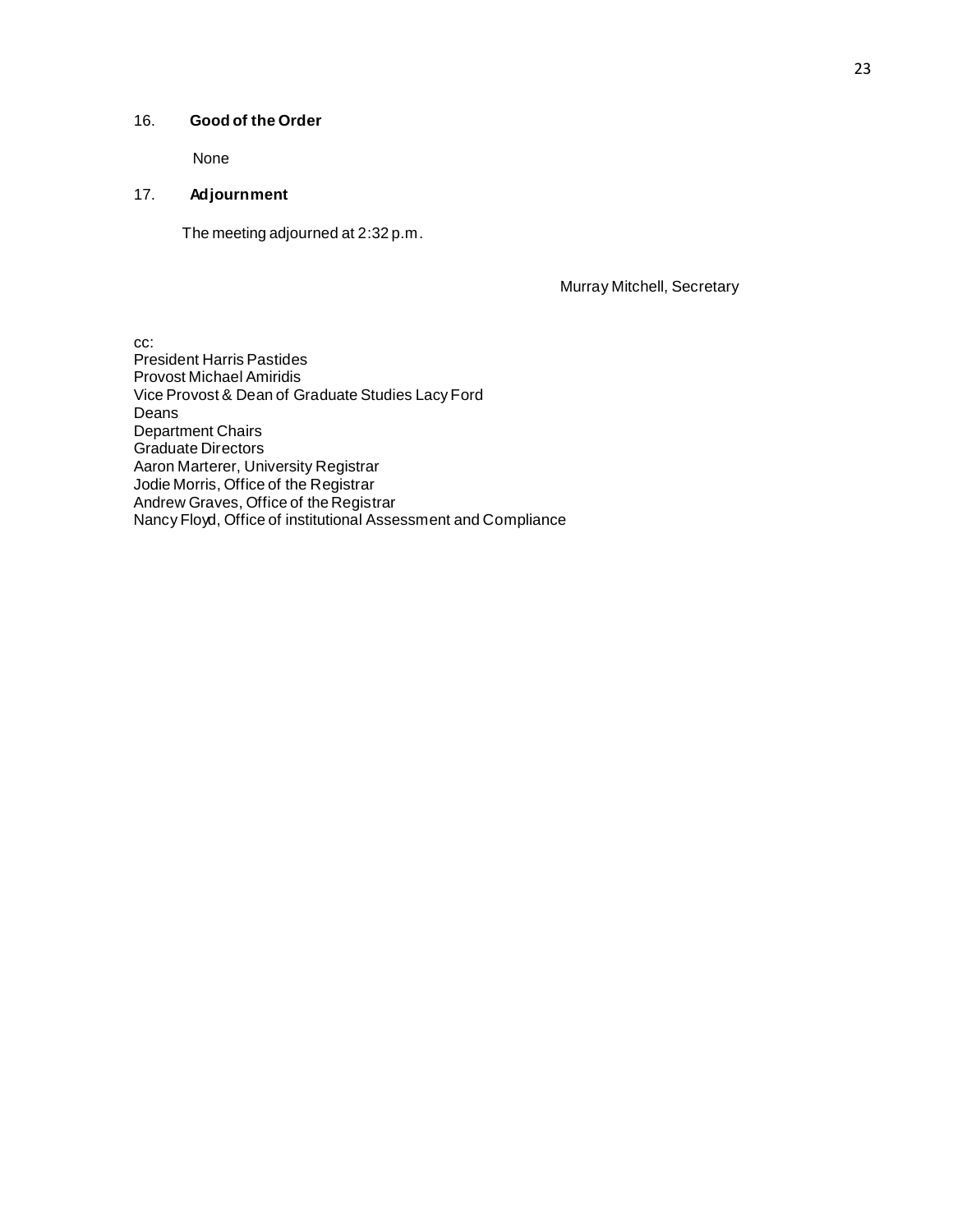# 16. **Good of the Order**

None

# 17. **Adjournment**

The meeting adjourned at 2:32 p.m.

Murray Mitchell, Secretary

cc: President Harris Pastides Provost Michael Amiridis Vice Provost & Dean of Graduate Studies Lacy Ford Deans Department Chairs Graduate Directors Aaron Marterer, University Registrar Jodie Morris, Office of the Registrar Andrew Graves, Office of the Registrar Nancy Floyd, Office of institutional Assessment and Compliance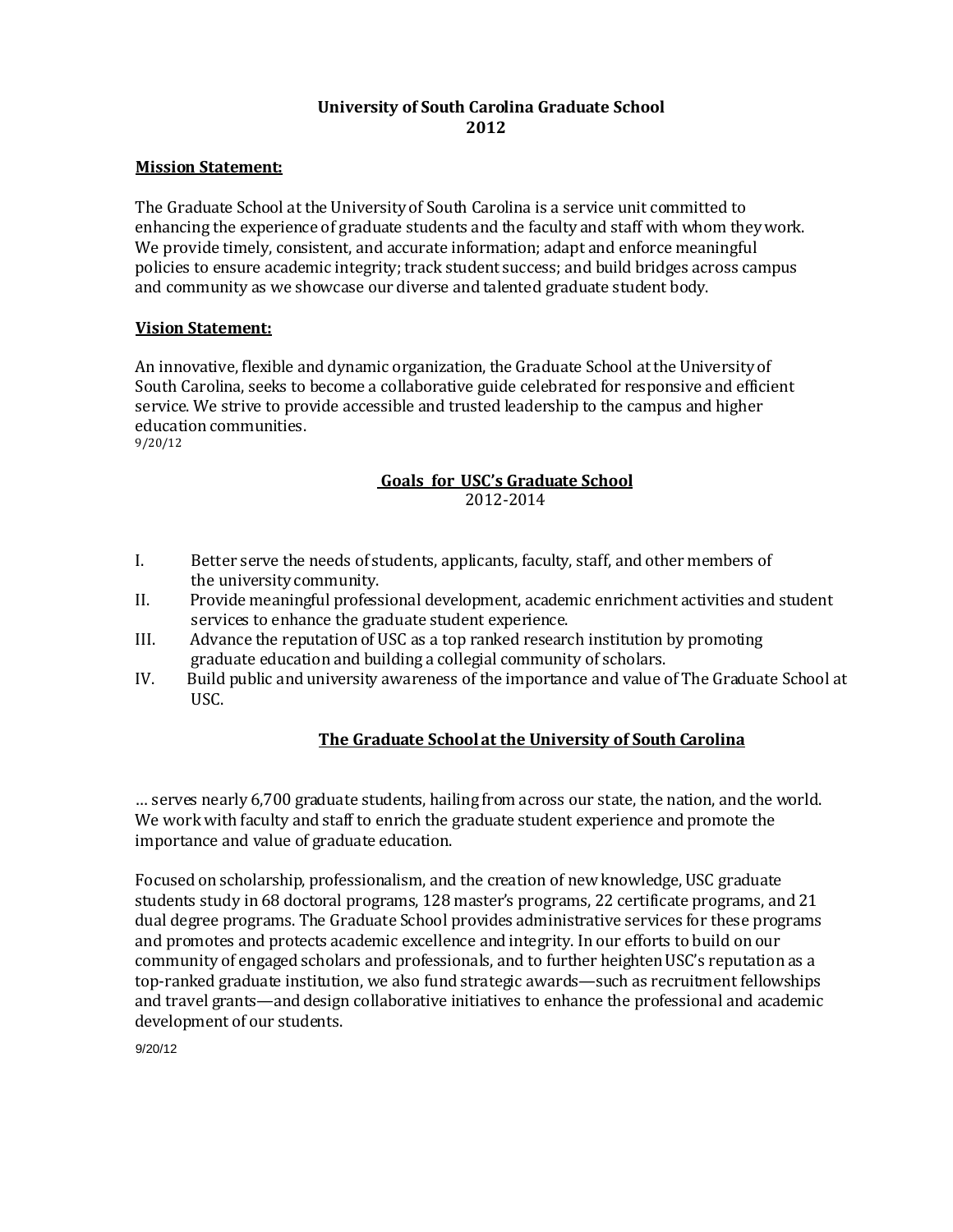# **University of South Carolina Graduate School 2012**

# **Mission Statement:**

The Graduate School at the Universityof South Carolina is a service unit committed to enhancing the experience of graduate students and the faculty and staff with whom theywork. We provide timely, consistent, and accurate information; adapt and enforce meaningful policies to ensure academic integrity; track student success; and build bridges across campus and community as we showcase our diverse and talented graduate student body.

# **Vision Statement:**

An innovative, flexible and dynamic organization, the Graduate School atthe University of South Carolina, seeks to become a collaborative guide celebrated for responsive and efficient service. We strive to provide accessible and trusted leadership to the campus and higher education communities. 9/20/12

# **Goals for USC's Graduate School** 2012-2014

- I. Better serve the needs of students, applicants, faculty, staff, and other members of the universitycommunity.
- II. Provide meaningful professional development, academic enrichment activities and student services to enhance the graduate student experience.
- III. Advance the reputation of USC as a top ranked research institution by promoting graduate education and building a collegial community of scholars.
- IV. Build public and university awareness of the importance and value of The Graduate School at USC.

# **The Graduate Schoolat the University of South Carolina**

… serves nearly 6,700 graduate students, hailing from across our state, the nation, and the world. We work with faculty and staff to enrich the graduate student experience and promote the importance and value of graduate education.

Focused on scholarship, professionalism, and the creation of newknowledge, USC graduate students study in 68 doctoral programs, 128 master's programs, 22 certificate programs, and 21 dual degree programs. The Graduate School provides administrative services for these programs and promotes and protects academic excellence and integrity. In our efforts to build on our community of engaged scholars and professionals, and to further heighten USC's reputation as a top-ranked graduate institution, we also fund strategic awards—such as recruitment fellowships and travel grants—and design collaborative initiatives to enhance the professional and academic development of our students.

9/20/12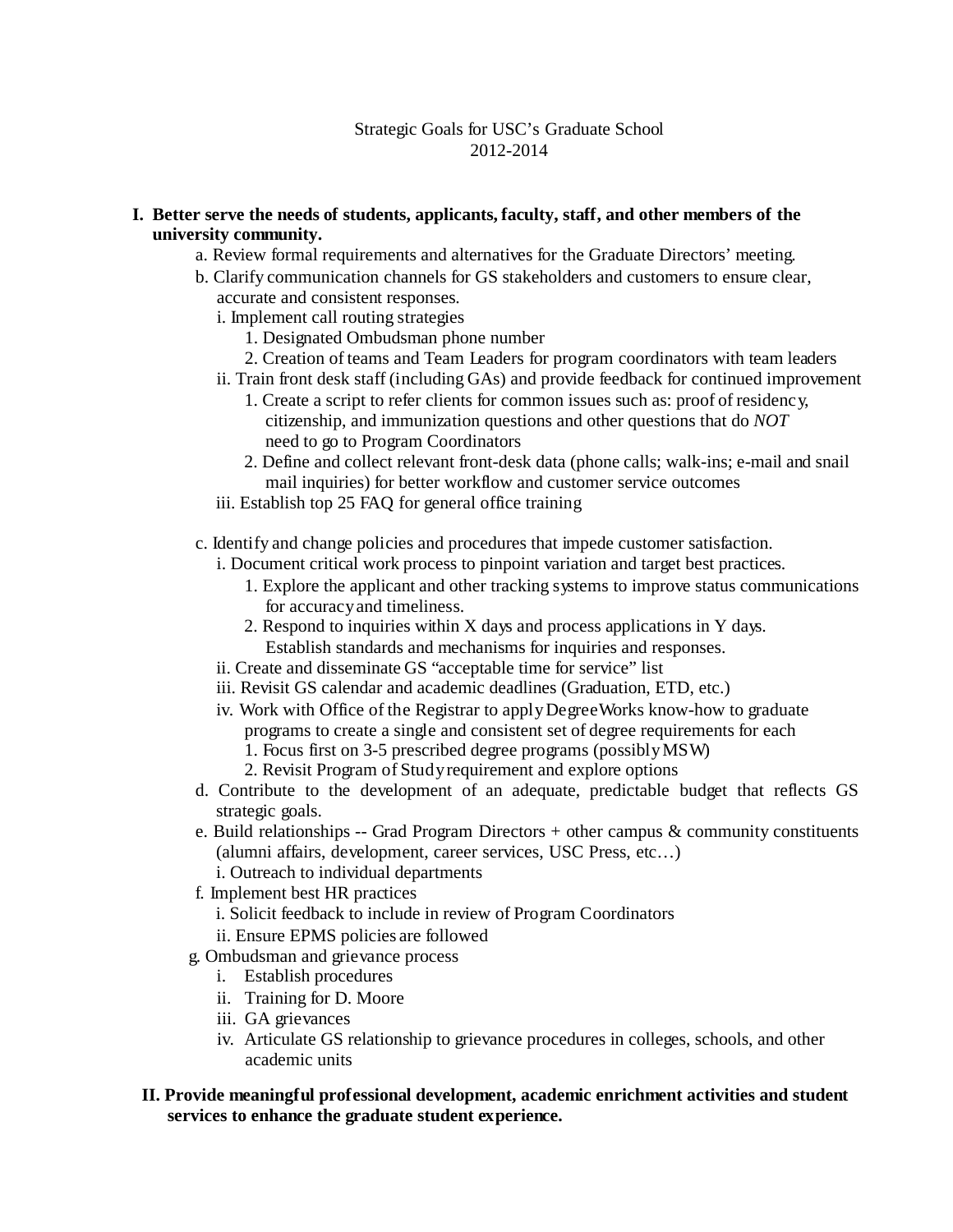# Strategic Goals for USC's Graduate School 2012-2014

# **I. Better serve the needs of students, applicants, faculty, staff, and other members of the university community.**

- a. Review formal requirements and alternatives for the Graduate Directors' meeting.
- b. Clarify communication channels for GS stakeholders and customers to ensure clear, accurate and consistent responses.
	- i. Implement call routing strategies
		- 1. Designated Ombudsman phone number
		- 2. Creation of teams and Team Leaders for program coordinators with team leaders
	- ii. Train front desk staff (including GAs) and provide feedback for continued improvement
		- 1. Create a script to refer clients for common issues such as: proof of residency, citizenship, and immunization questions and other questions that do *NOT*  need to go to Program Coordinators
		- 2. Define and collect relevant front-desk data (phone calls; walk-ins; e-mail and snail mail inquiries) for better workflow and customer service outcomes
	- iii. Establish top 25 FAQ for general office training
- c. Identify and change policies and procedures that impede customer satisfaction.
	- i. Document critical work process to pinpoint variation and target best practices.
		- 1. Explore the applicant and other tracking systems to improve status communications for accuracyand timeliness.
		- 2. Respond to inquiries within X days and process applications in Y days. Establish standards and mechanisms for inquiries and responses.
	- ii. Create and disseminate GS "acceptable time for service" list
	- iii. Revisit GS calendar and academic deadlines (Graduation, ETD, etc.)
	- iv. Work with Office of the Registrar to applyDegreeWorks know-how to graduate programs to create a single and consistent set of degree requirements for each
		- 1. Focus first on 3-5 prescribed degree programs (possiblyMSW)
		- 2. Revisit Program of Studyrequirement and explore options
- d. Contribute to the development of an adequate, predictable budget that reflects GS strategic goals.
- e. Build relationships -- Grad Program Directors  $+$  other campus & community constituents (alumni affairs, development, career services, USC Press, etc…)
	- i. Outreach to individual departments
- f. Implement best HR practices
	- i. Solicit feedback to include in review of Program Coordinators
	- ii. Ensure EPMS policies are followed
- g. Ombudsman and grievance process
	- i. Establish procedures
	- ii. Training for D. Moore
	- iii. GA grievances
	- iv. Articulate GS relationship to grievance procedures in colleges, schools, and other academic units

# **II. Provide meaningful professional development, academic enrichment activities and student services to enhance the graduate student experience.**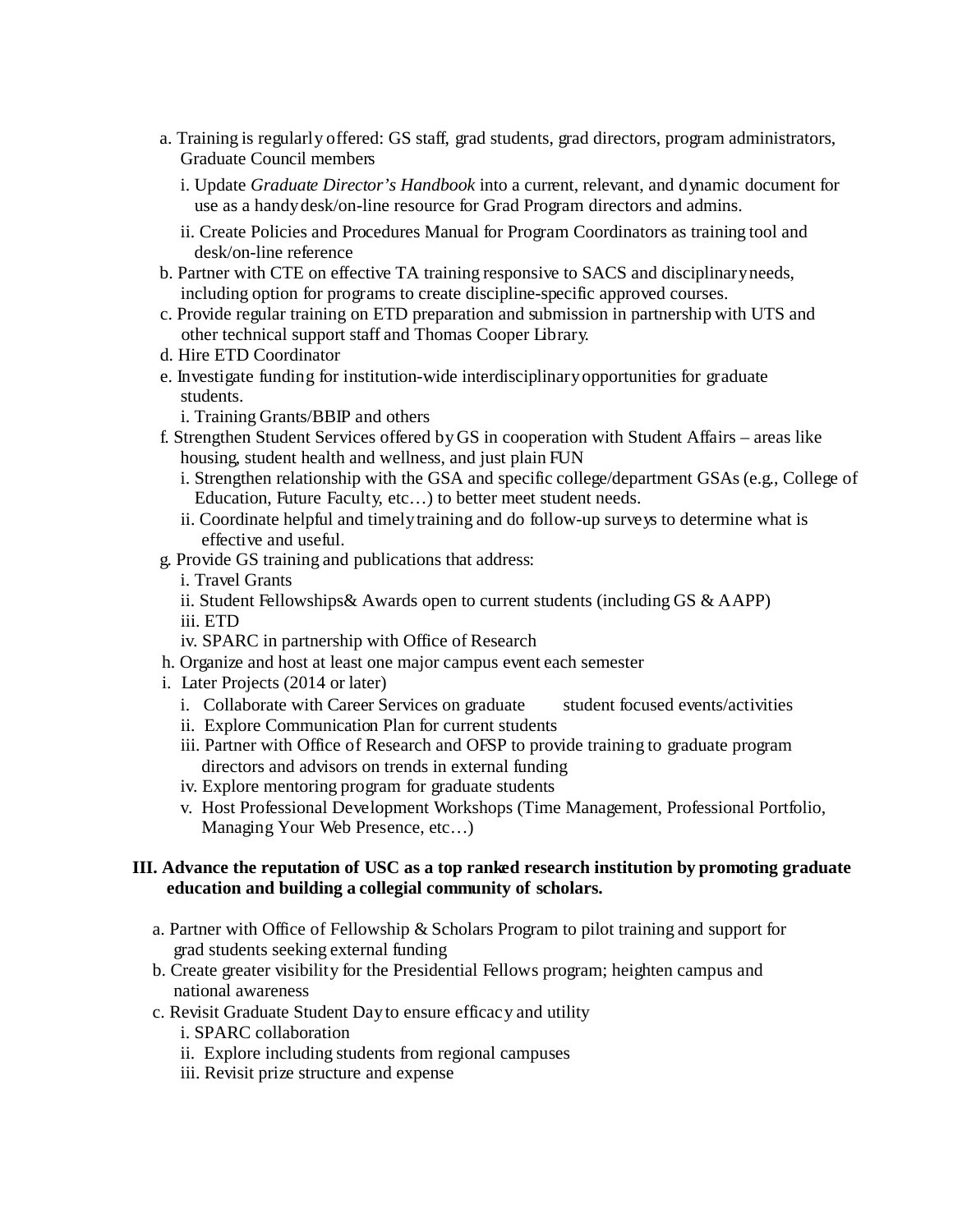- a. Training is regularly offered: GS staff, grad students, grad directors, program administrators, Graduate Council members
	- i. Update *Graduate Director's Handbook* into a current, relevant, and dynamic document for use as a handydesk/on-line resource for Grad Program directors and admins.
	- ii. Create Policies and Procedures Manual for Program Coordinators as training tool and desk/on-line reference
- b. Partner with CTE on effective TA training responsive to SACS and disciplinaryneeds, including option for programs to create discipline-specific approved courses.
- c. Provide regular training on ETD preparation and submission in partnership with UTS and other technical support staff and Thomas Cooper Library.
- d. Hire ETD Coordinator
- e. Investigate funding for institution-wide interdisciplinaryopportunities for graduate students.

i. Training Grants/BBIP and others

- f. Strengthen Student Services offered byGS in cooperation with Student Affairs areas like housing, student health and wellness, and just plain FUN
	- i. Strengthen relationship with the GSA and specific college/department GSAs (e.g., College of Education, Future Faculty, etc…) to better meet student needs.
	- ii. Coordinate helpful and timelytraining and do follow-up surveys to determine what is effective and useful.
- g. Provide GS training and publications that address:
	- i. Travel Grants
	- ii. Student Fellowships& Awards open to current students (including GS & AAPP)
	- iii. ETD
	- iv. SPARC in partnership with Office of Research
- h. Organize and host at least one major campus event each semester
- i. Later Projects (2014 or later)
	- i. Collaborate with Career Services on graduate student focused events/activities
	- ii. Explore Communication Plan for current students
	- iii. Partner with Office of Research and OFSP to provide training to graduate program directors and advisors on trends in external funding
	- iv. Explore mentoring program for graduate students
	- v. Host Professional Development Workshops (Time Management, Professional Portfolio, Managing Your Web Presence, etc…)

# **III. Advance the reputation of USC as a top ranked research institution by promoting graduate education and building a collegial community of scholars.**

- a. Partner with Office of Fellowship & Scholars Program to pilot training and support for grad students seeking external funding
- b. Create greater visibility for the Presidential Fellows program; heighten campus and national awareness
- c. Revisit Graduate Student Dayto ensure efficacy and utility
	- i. SPARC collaboration
	- ii. Explore including students from regional campuses
	- iii. Revisit prize structure and expense